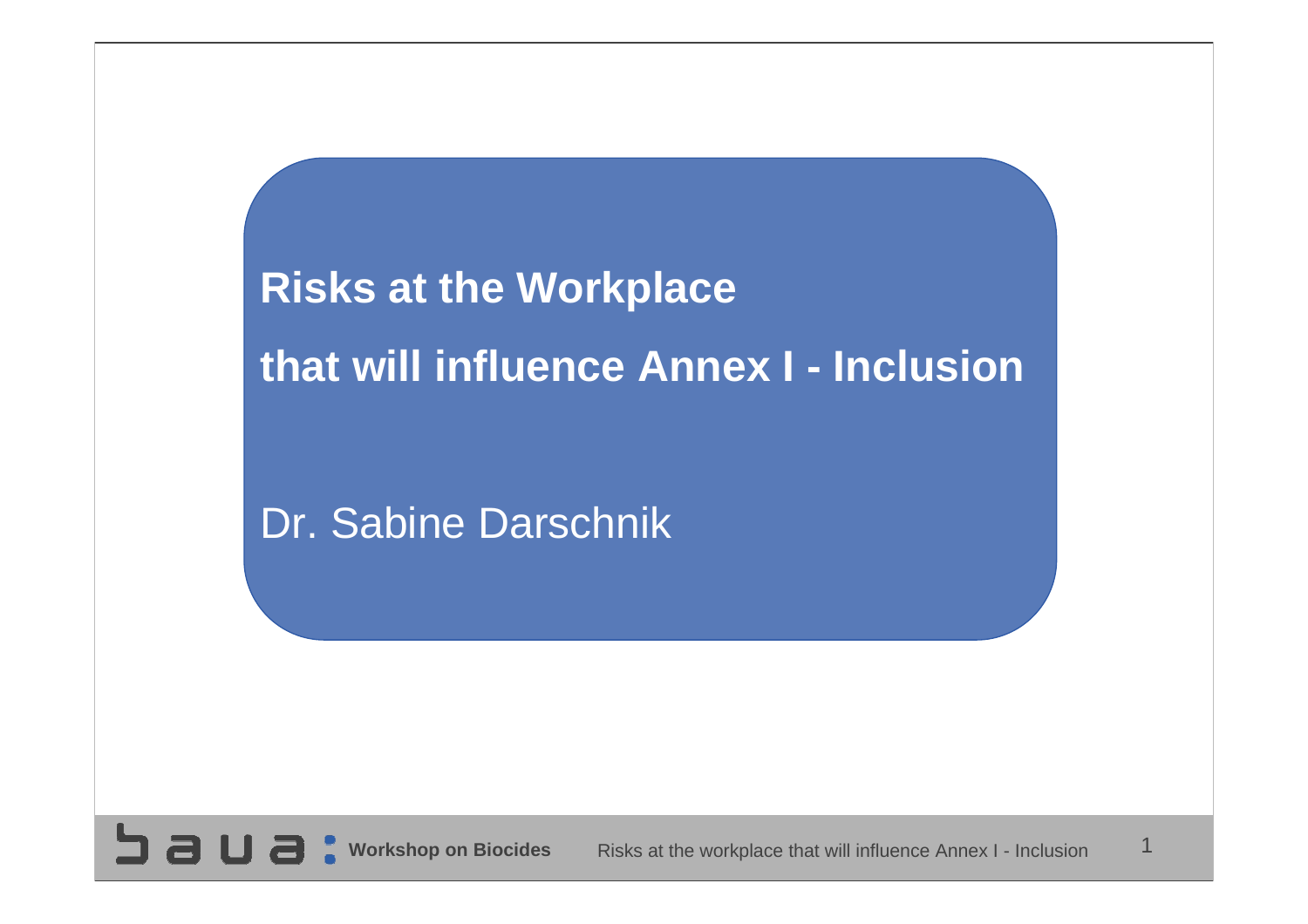**Risks at the Workplace that will influence Annex I - Inclusion**

Dr. Sabine Darschnik

**SUBC** 

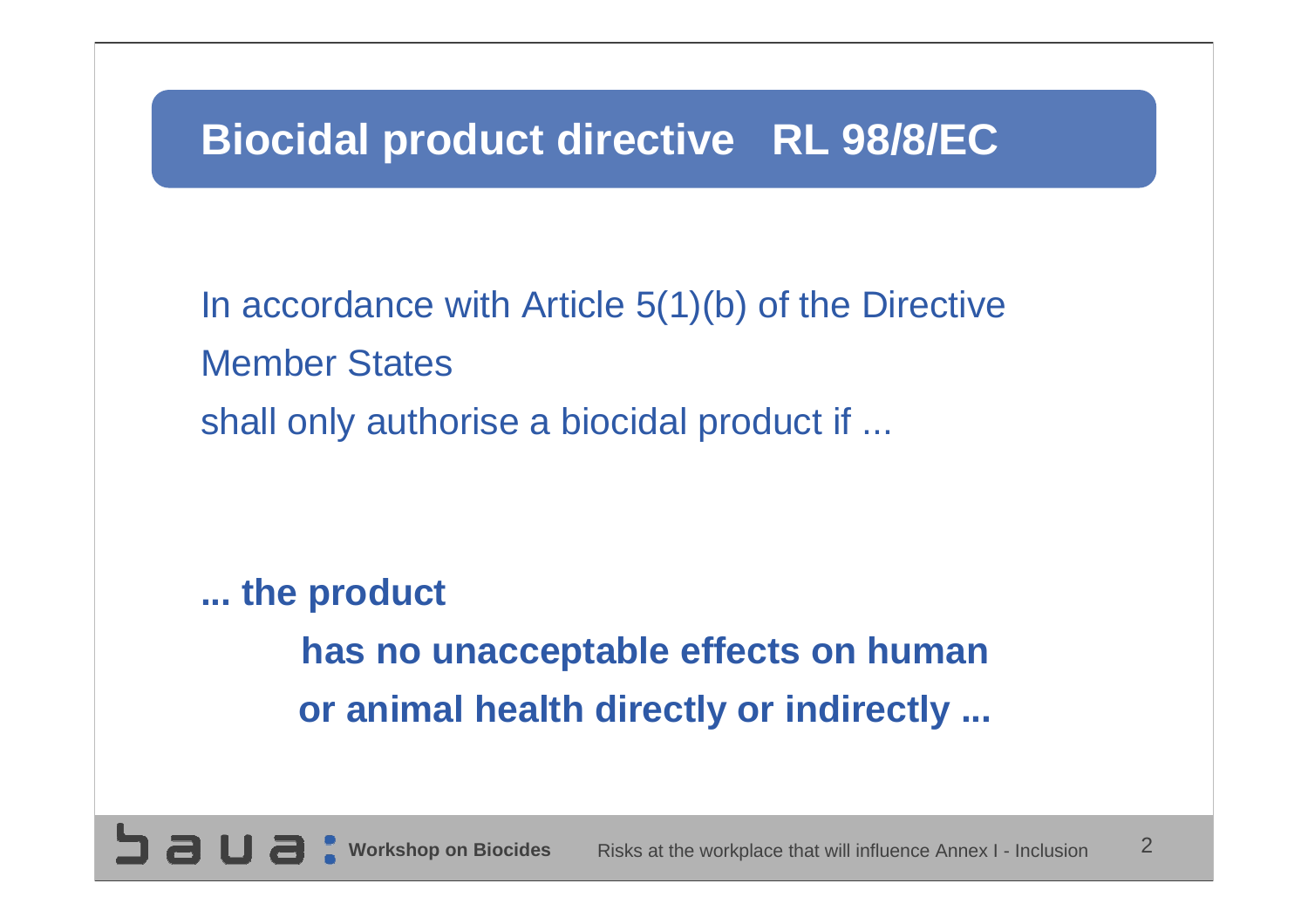# **Biocidal product directive RL 98/8/EC**

In accordance with Article 5(1)(b) of the Directive Member States shall only authorise a biocidal product if ...

**... the product has no unacceptable effects on human or animal health directly or indirectly ...**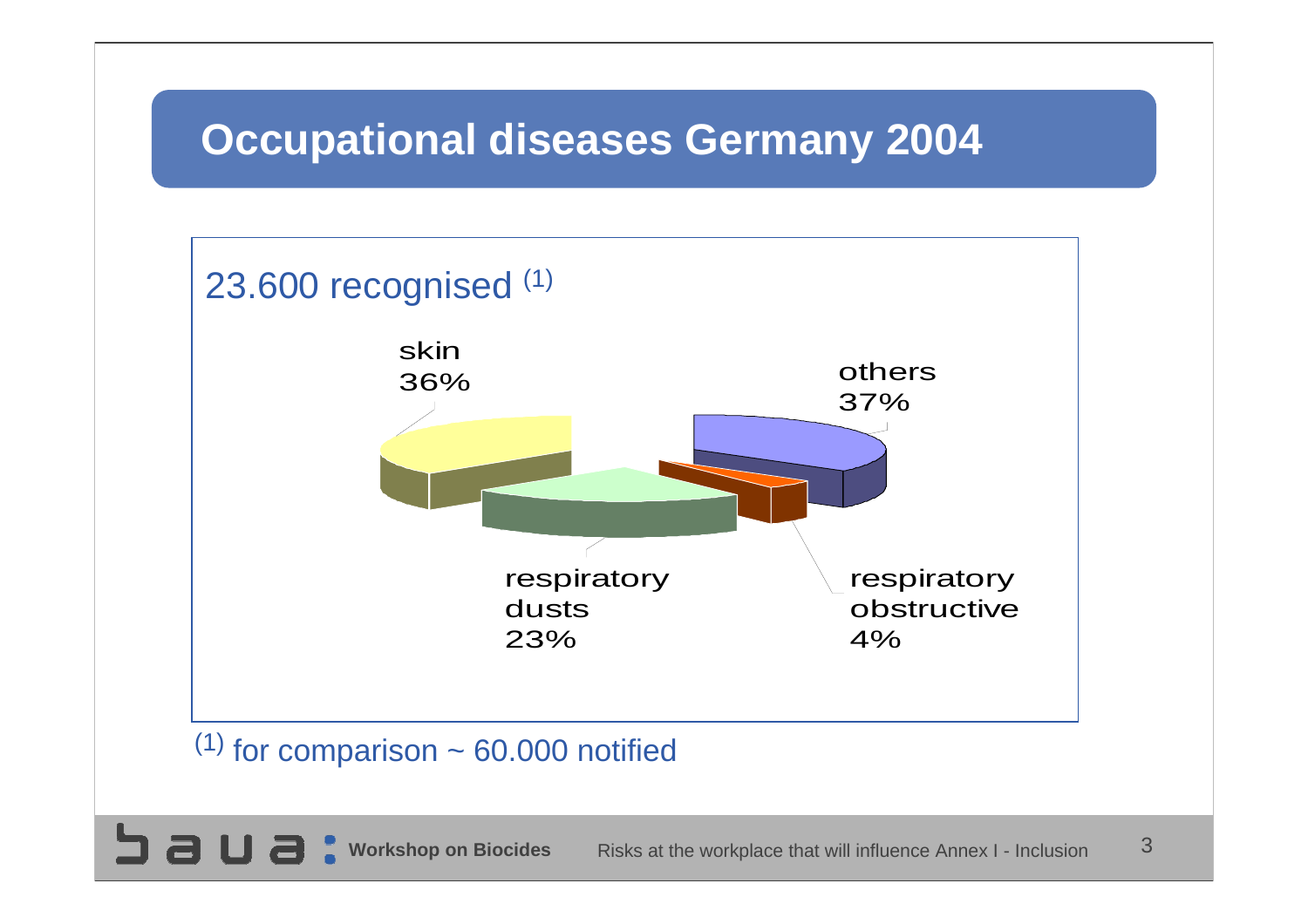# **Occupational diseases Germany 2004**



#### <sup>(1)</sup> for comparison  $\sim 60.000$  notified

**SUBC**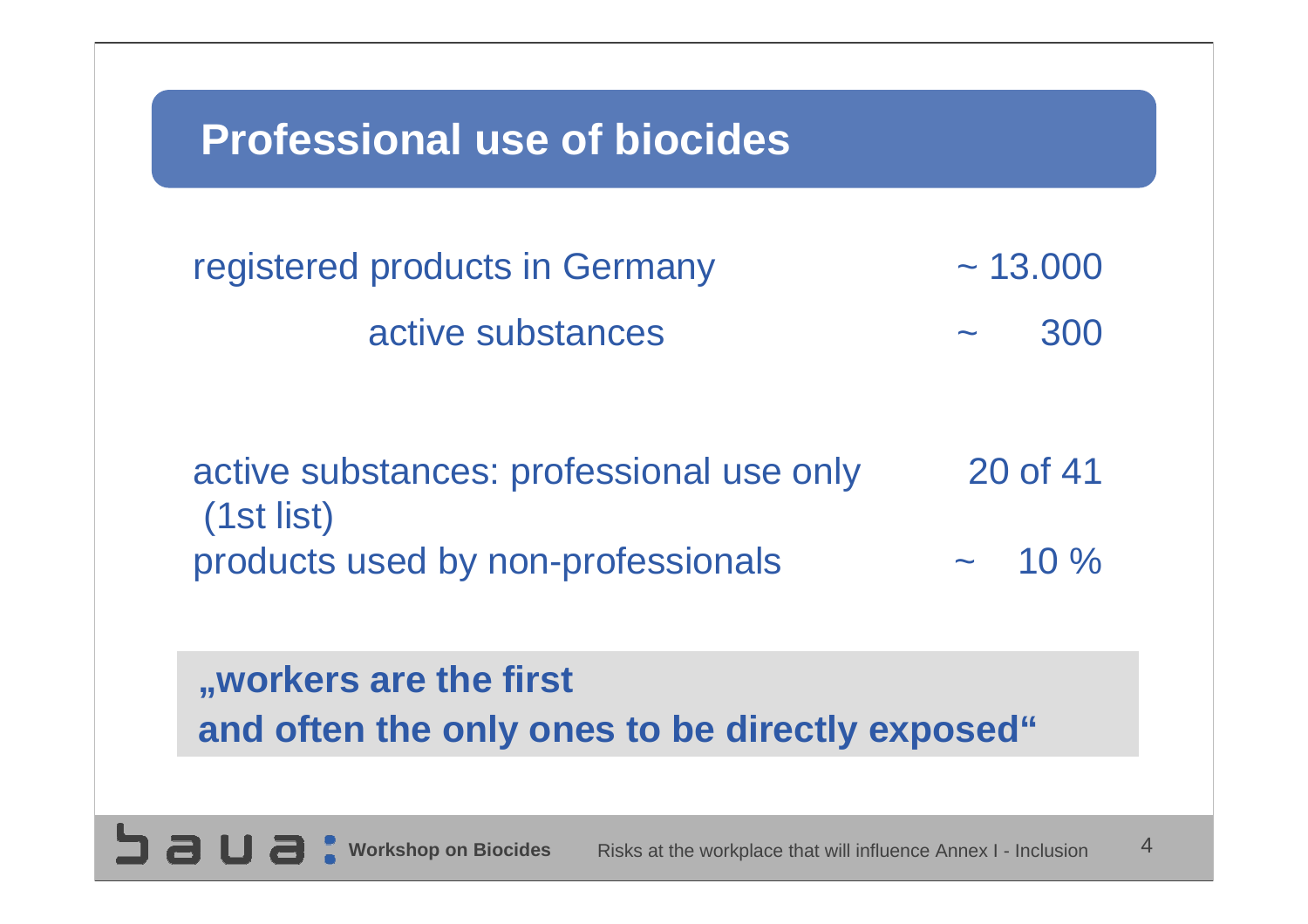## **Professional use of biocides**

 $\Box$  a

| registered products in Germany | $\sim$ 13,000 |  |
|--------------------------------|---------------|--|
| active substances              | 300<br>$\sim$ |  |

active substances: professional use only 20 of 41 (1st list) products used by non-professionals  $\sim 10\%$ 

### **"workers are the first and often the only ones to be directly exposed"**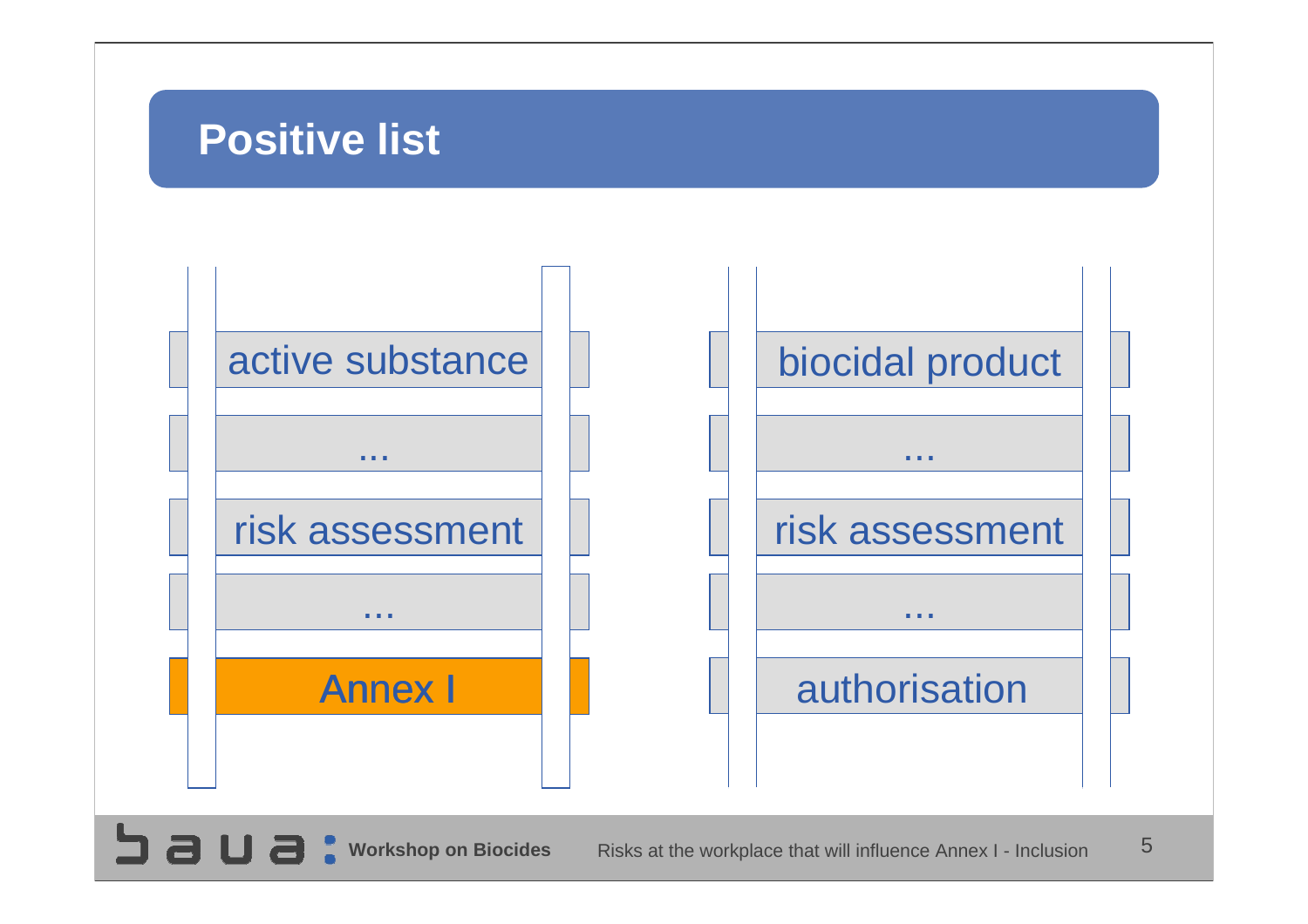## **Positive list**

 $5a$ ua:

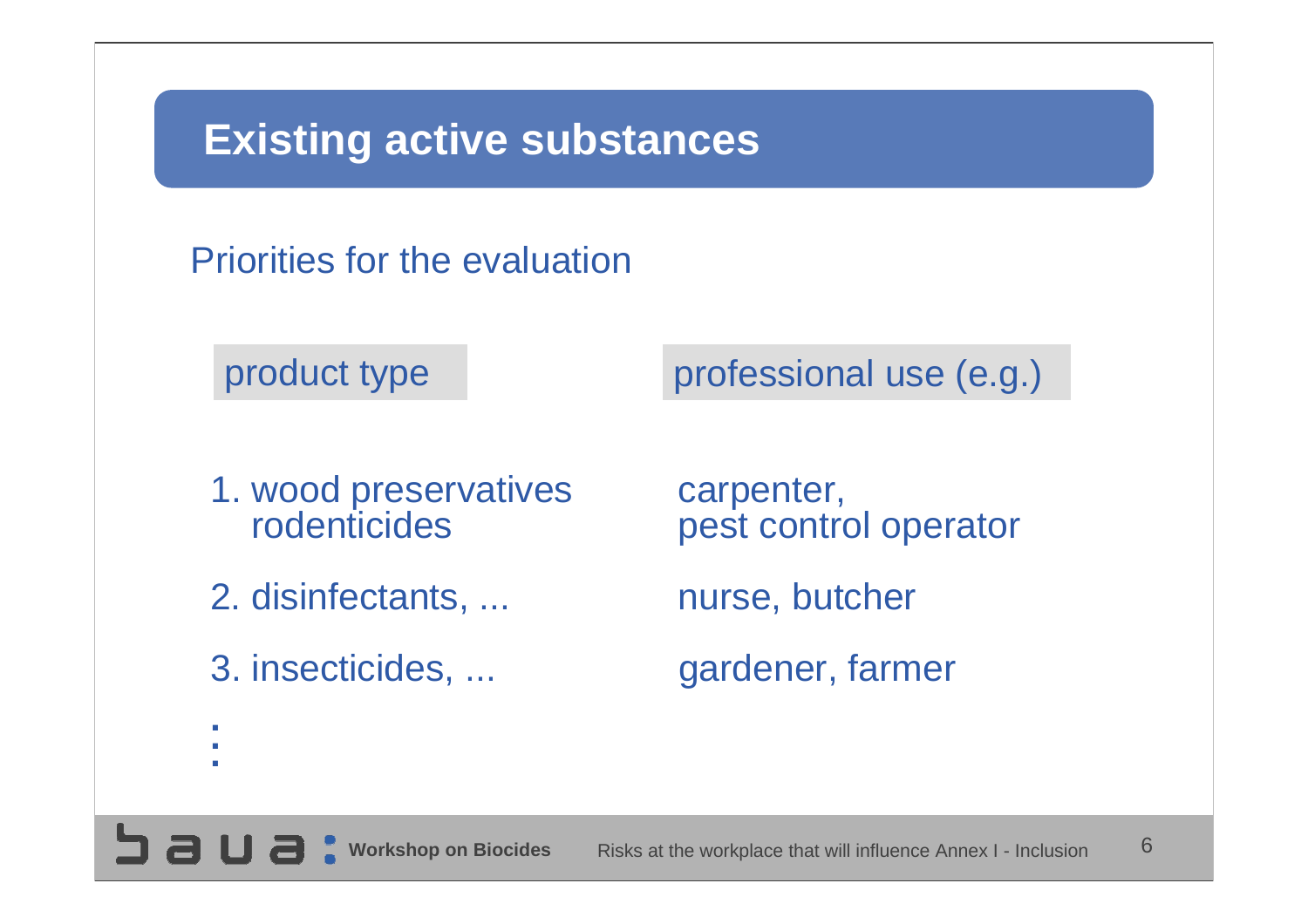## **Existing active substances**

Priorities for the evaluation

product type professional use (e.g.)

- 1. wood preservatives carpenter, rodenticides
- 2. disinfectants, ... The nurse, butcher
- 

pest control operator

3. insecticides, ... gardener, farmer

- **.**
- **.**
- **.**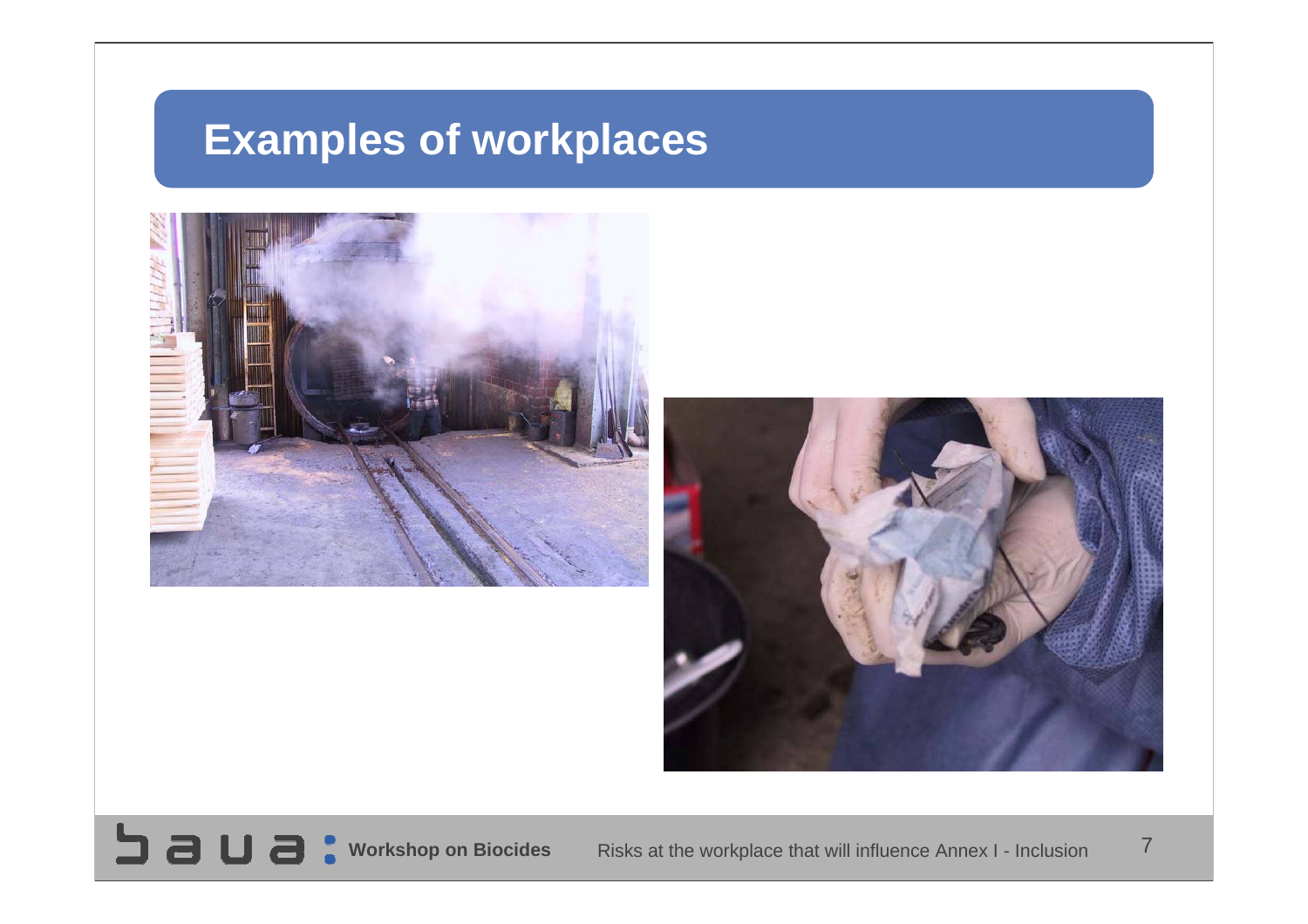# **Examples of workplaces**



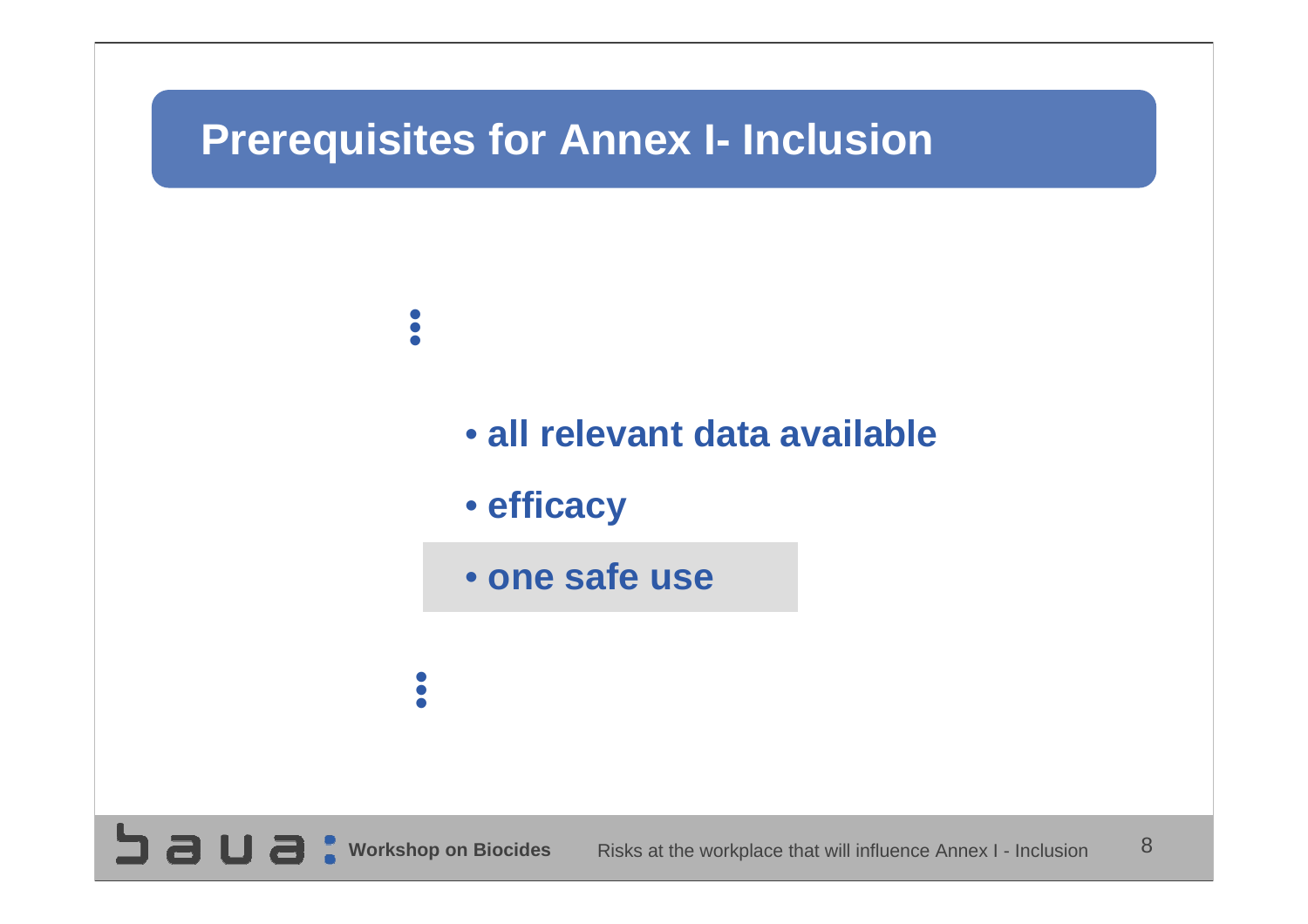### **Prerequisites for Annex I- Inclusion**

saua:

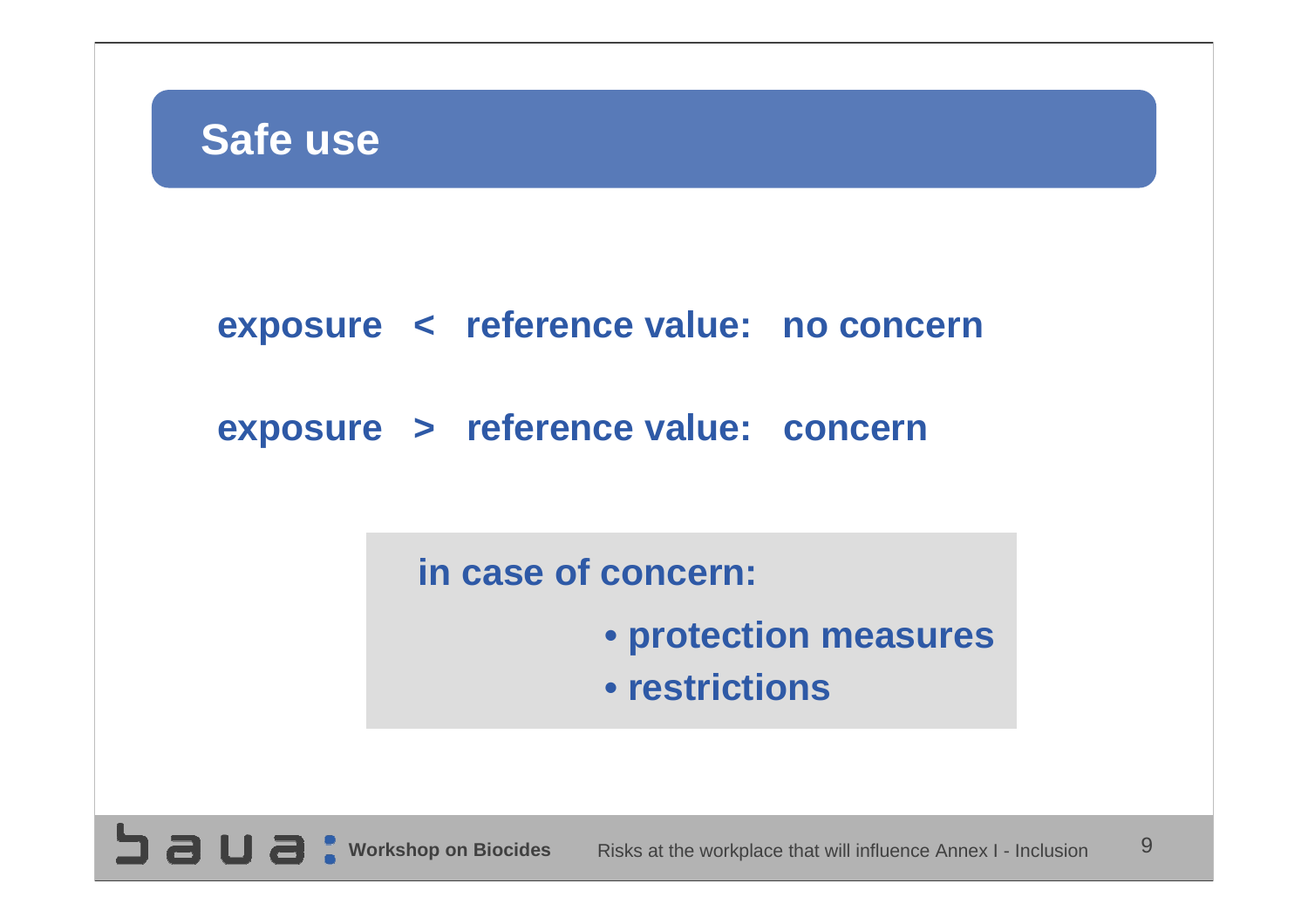

#### **exposure < reference value: no concern**

#### **exposure > reference value: concern**

**in case of concern:**

- **• protection measures**
- **• restrictions**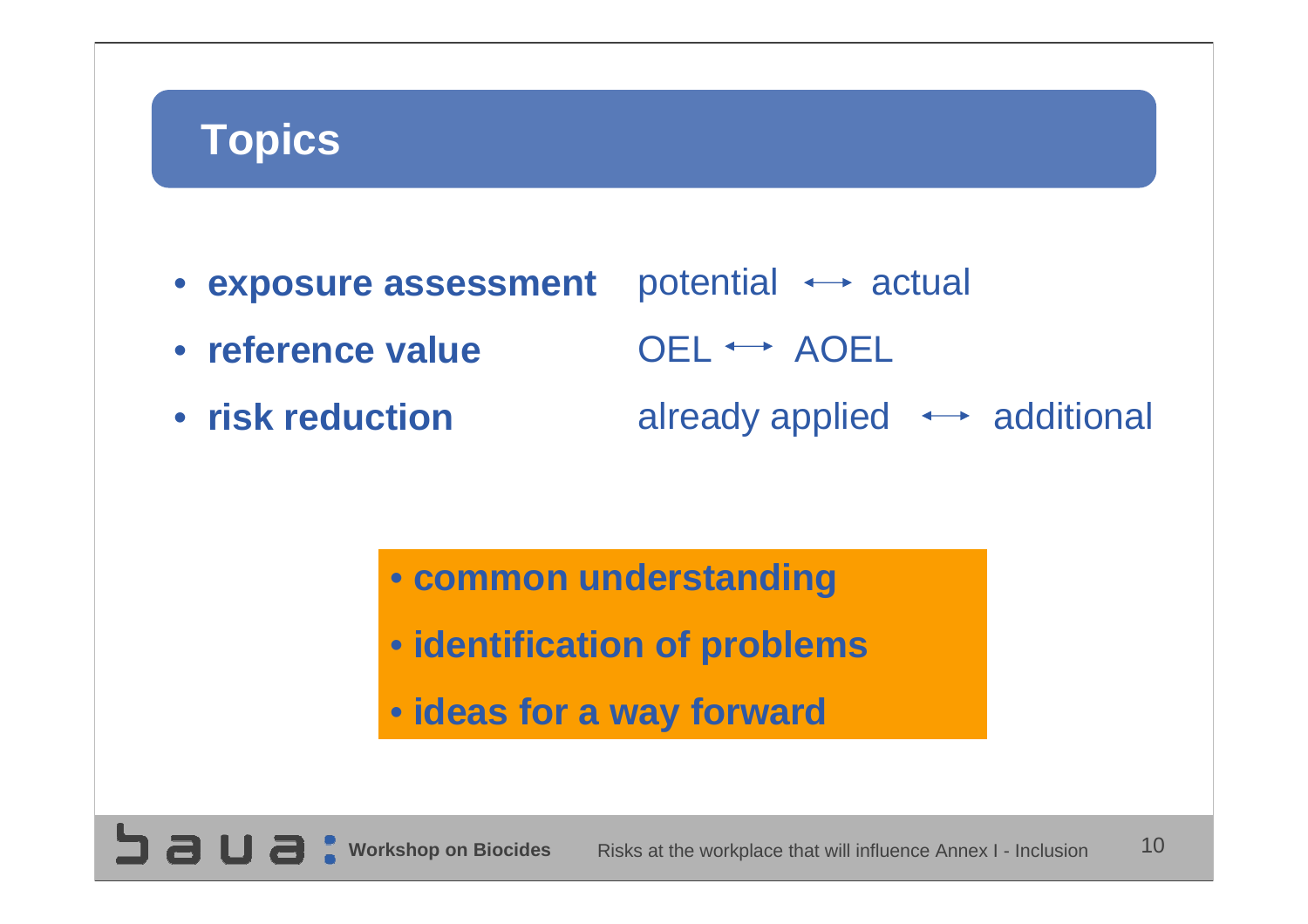# **Topics**

potential  $\leftrightarrow$  actual  $OEL \leftrightarrow AOEL$ already applied  $\leftrightarrow$  additional • **exposure assessment** • **reference value**• **risk reduction**

> • **common understanding** • **identification of problems** • **ideas for a way forward**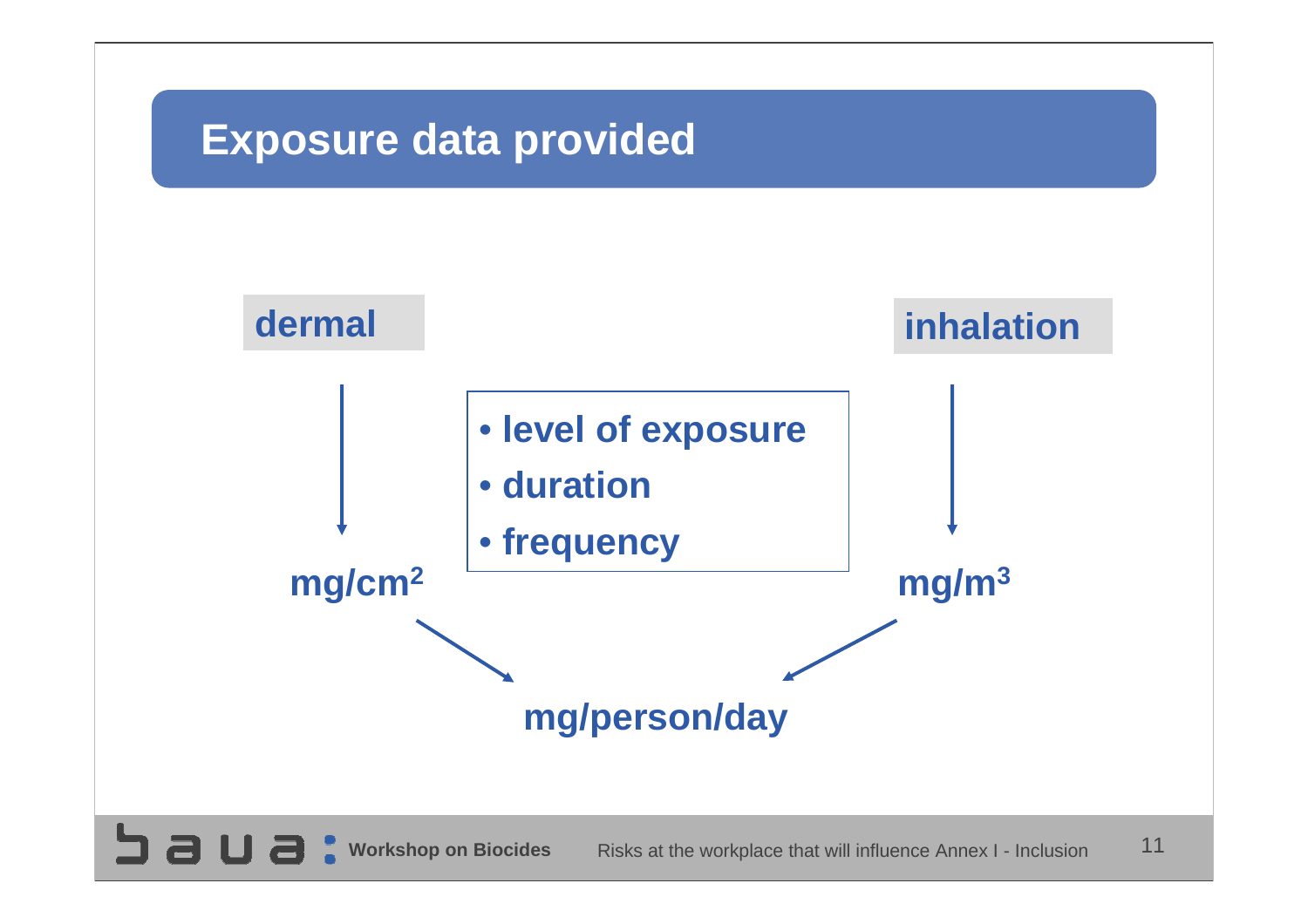## **Exposure data provided**

**SUBC** 

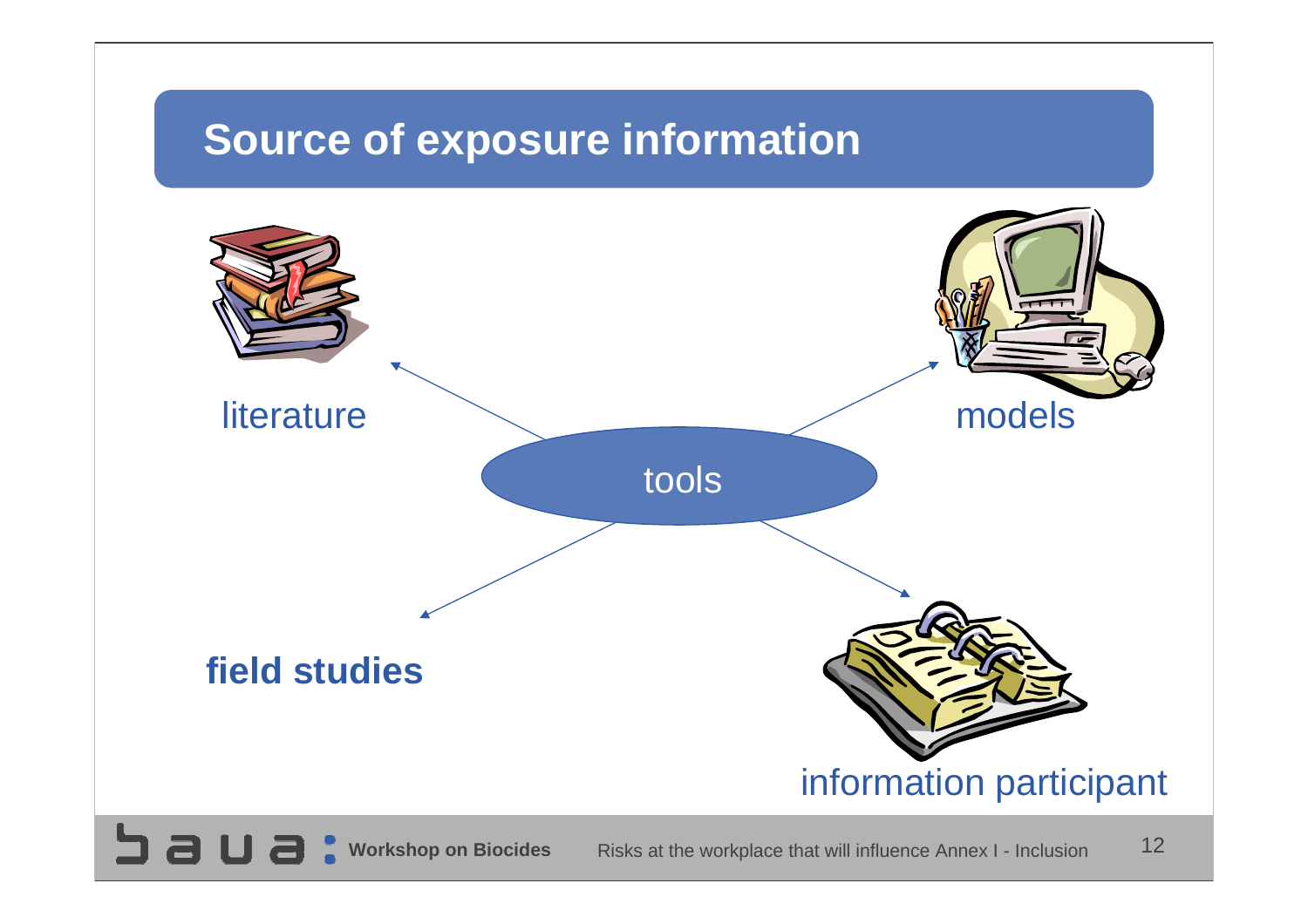## **Source of exposure information**

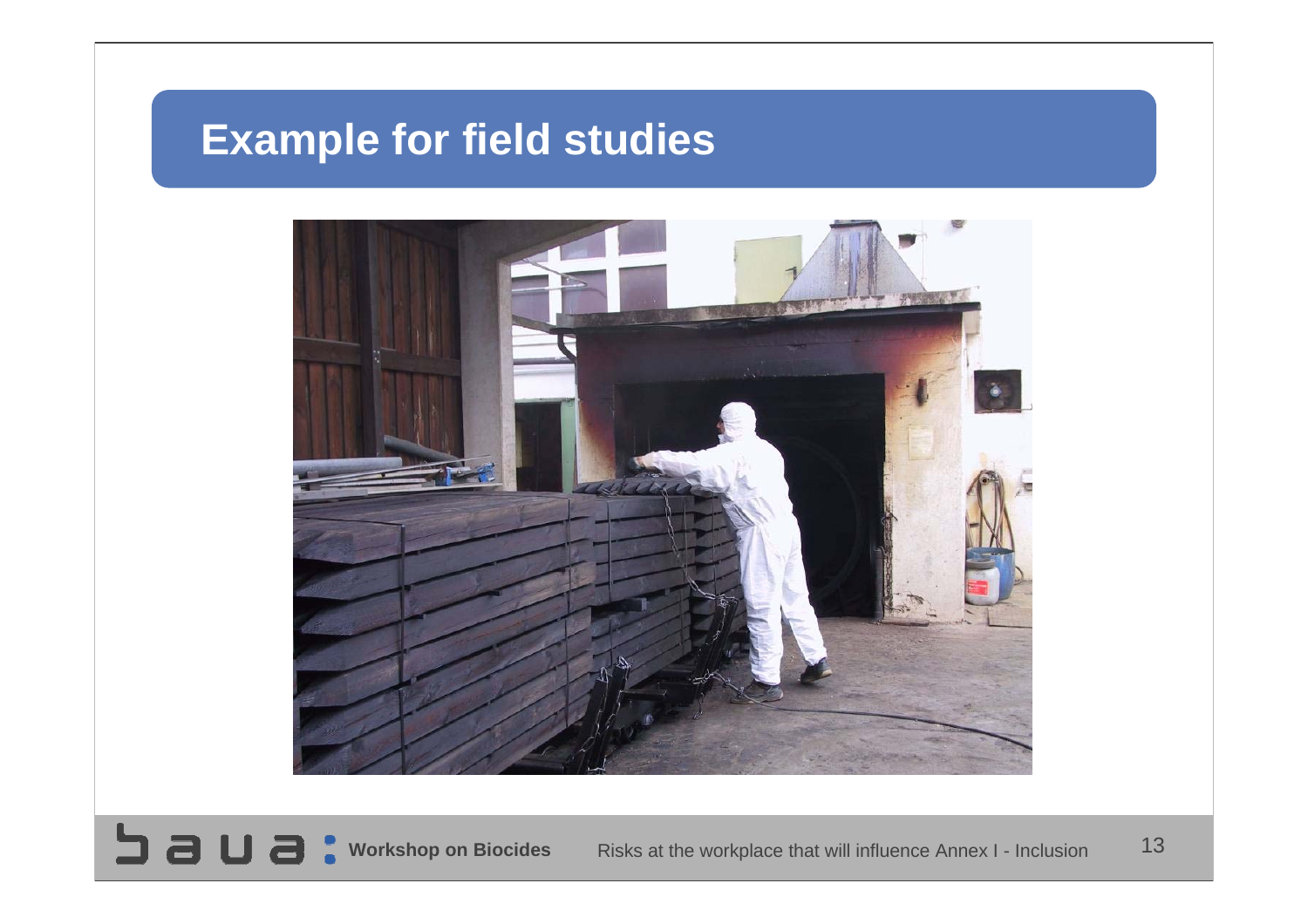# **Example for field studies**



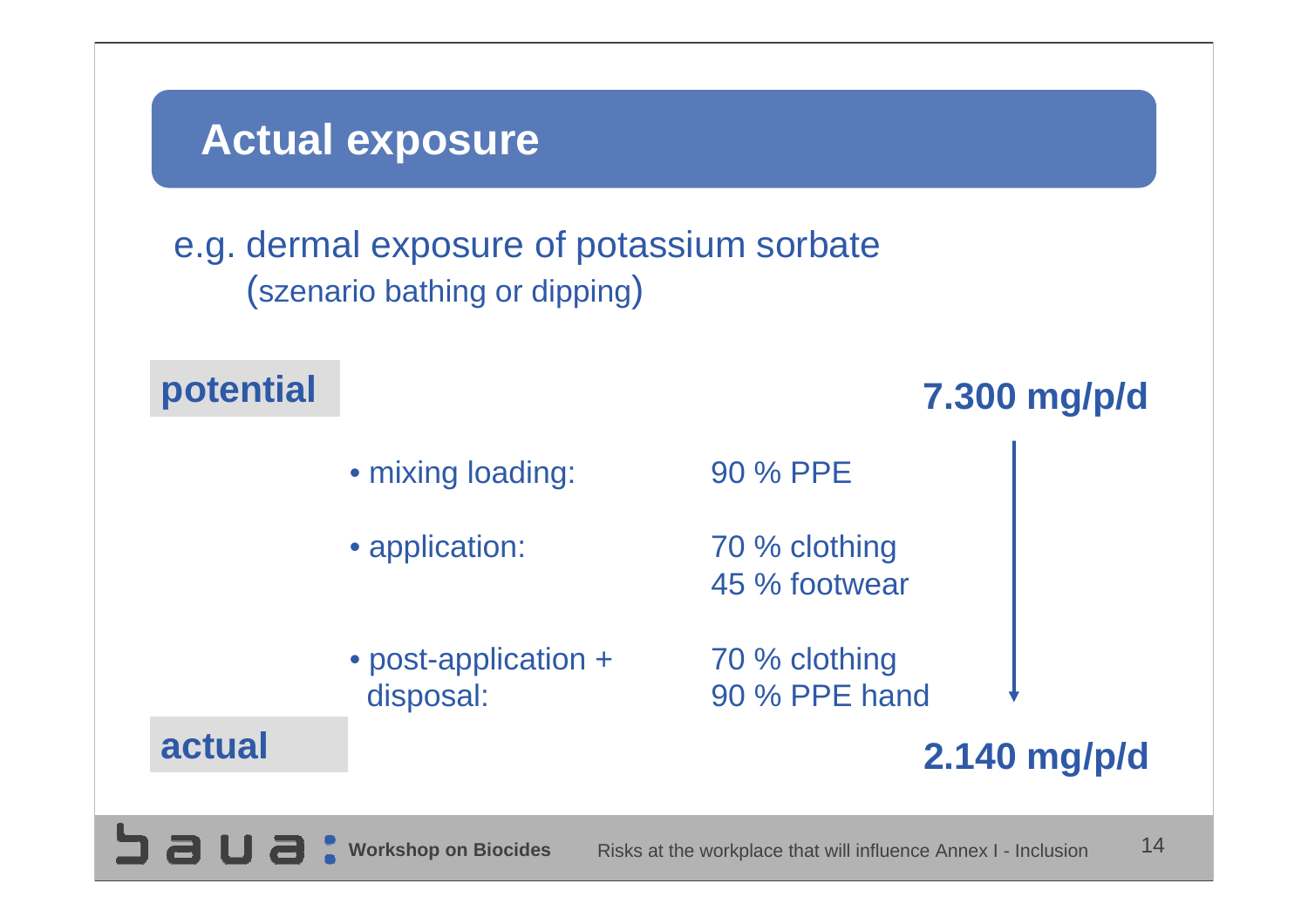## **Actual exposure**

 $\Box$  a

#### e.g. dermal exposure of potassium sorbate (szenario bathing or dipping)

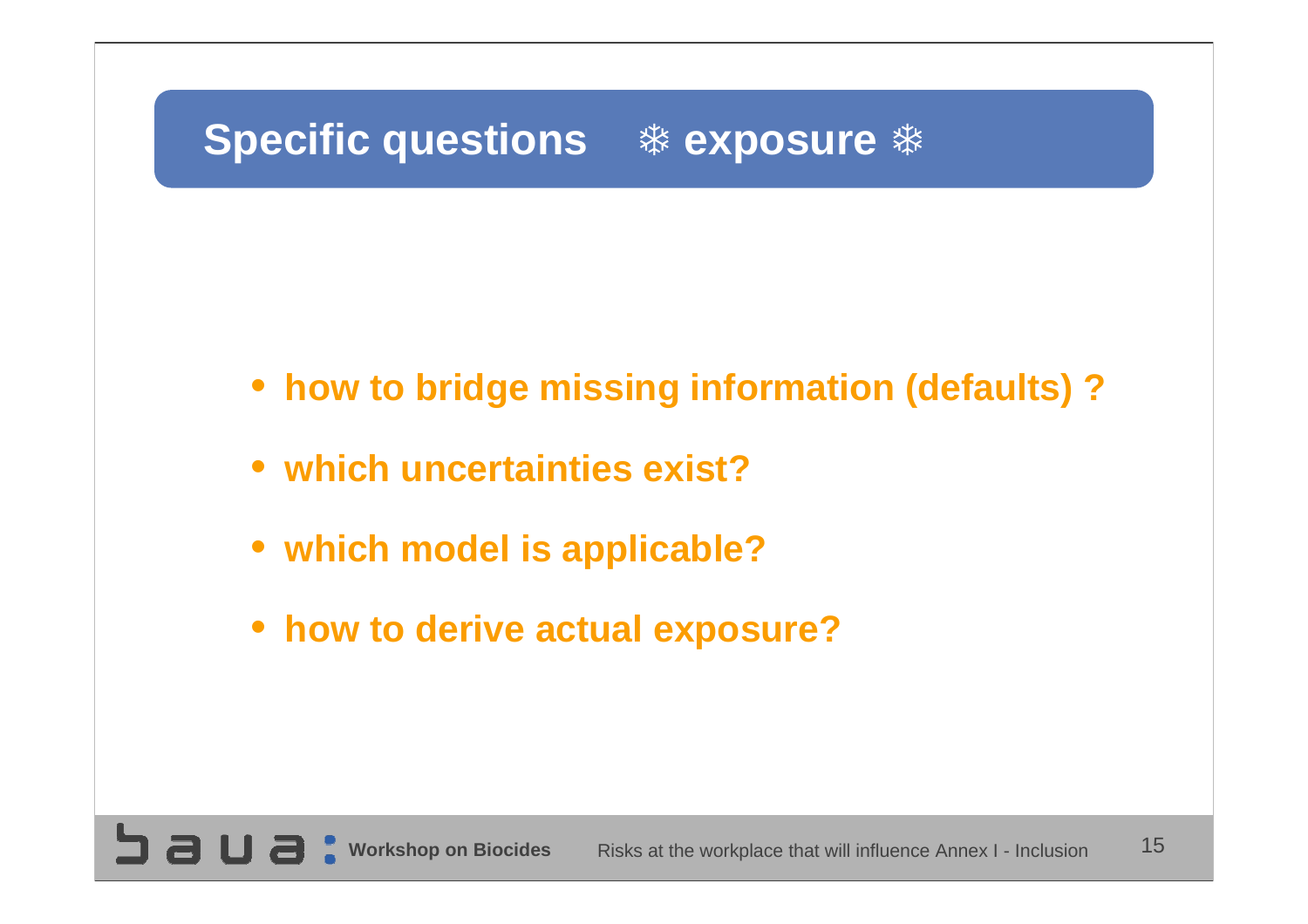# **Specific questions**  $*$  **exposure**  $*$

- **how to bridge missing information (defaults) ?**
- **which uncertainties exist?**
- **which model is applicable?**
- **how to derive actual exposure?**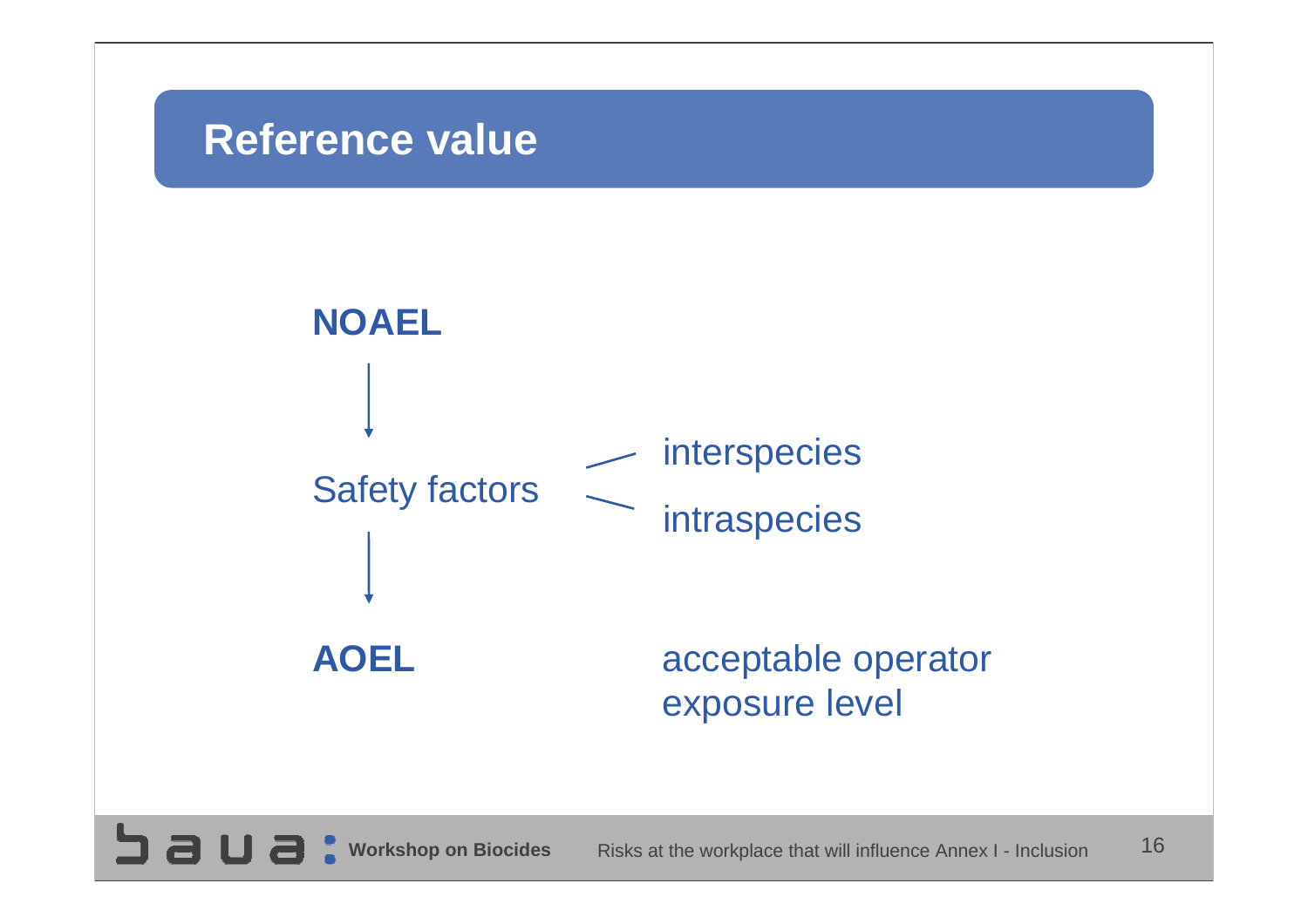#### **Reference value**

コョロ

Fai

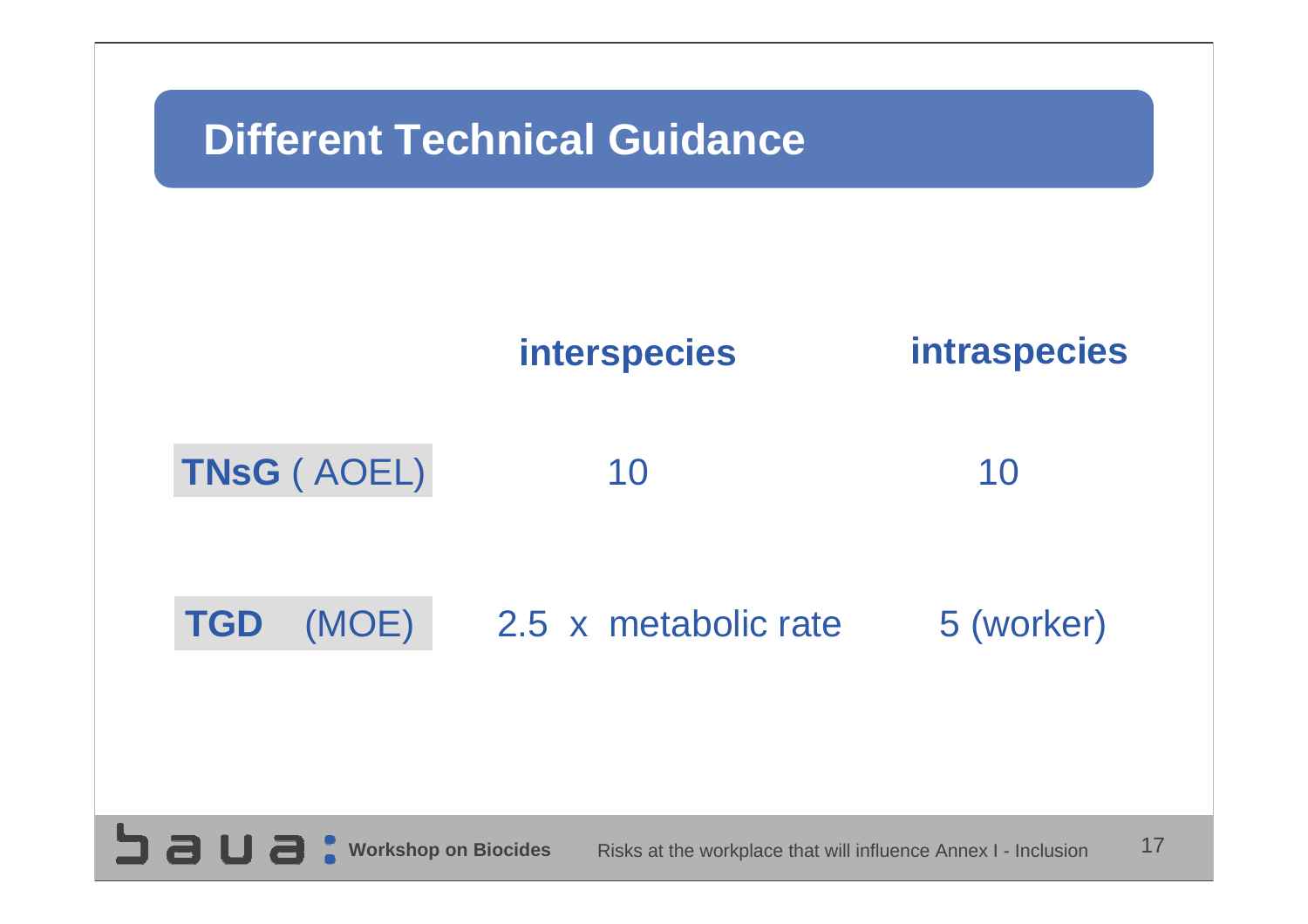

 $3a$ ua: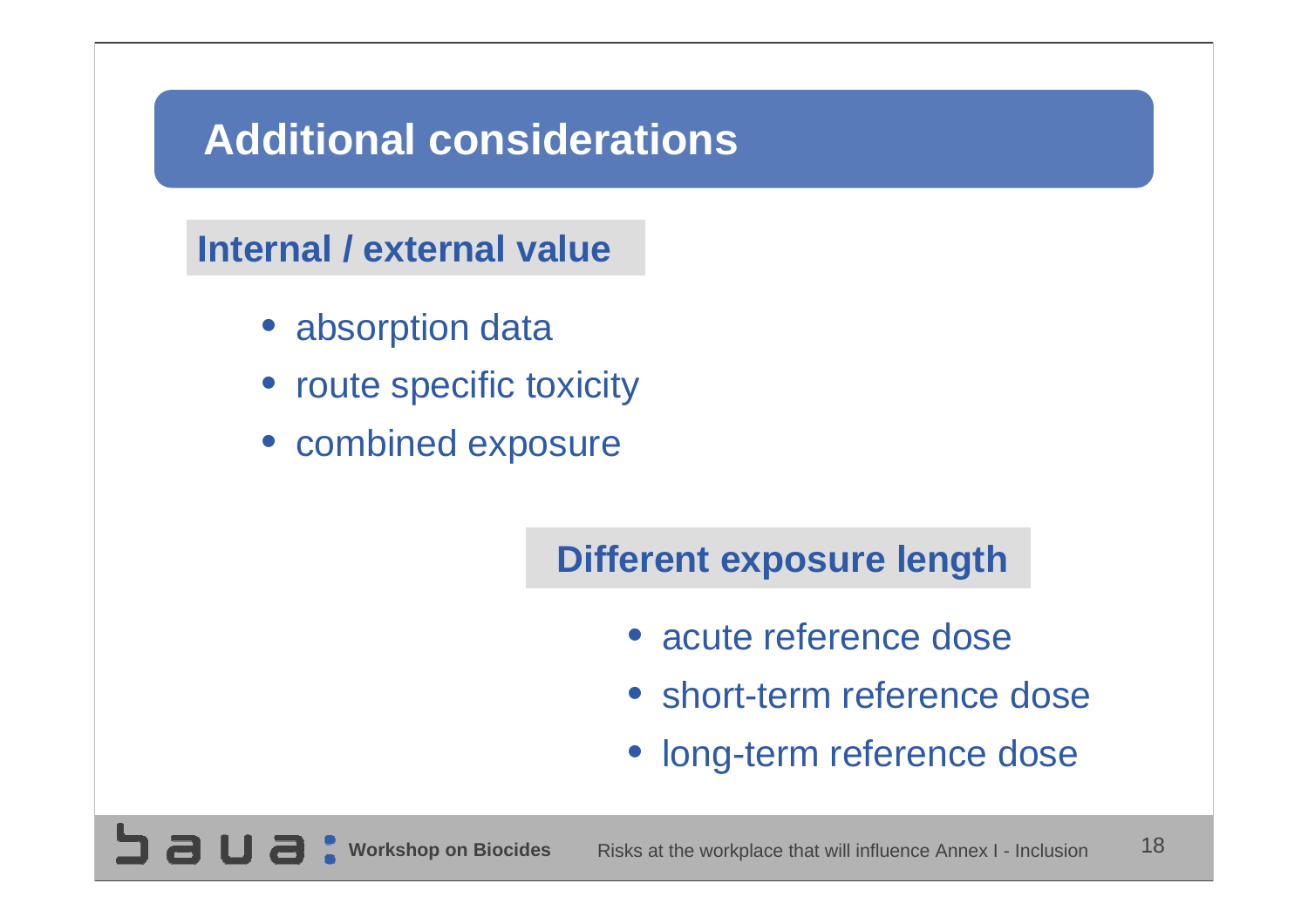# **Additional considerations**

#### **Internal / external value**

- absorption data
- route specific toxicity
- combined exposure

#### **Different exposure length**

- acute reference dose
- short-term reference dose
- long-term reference dose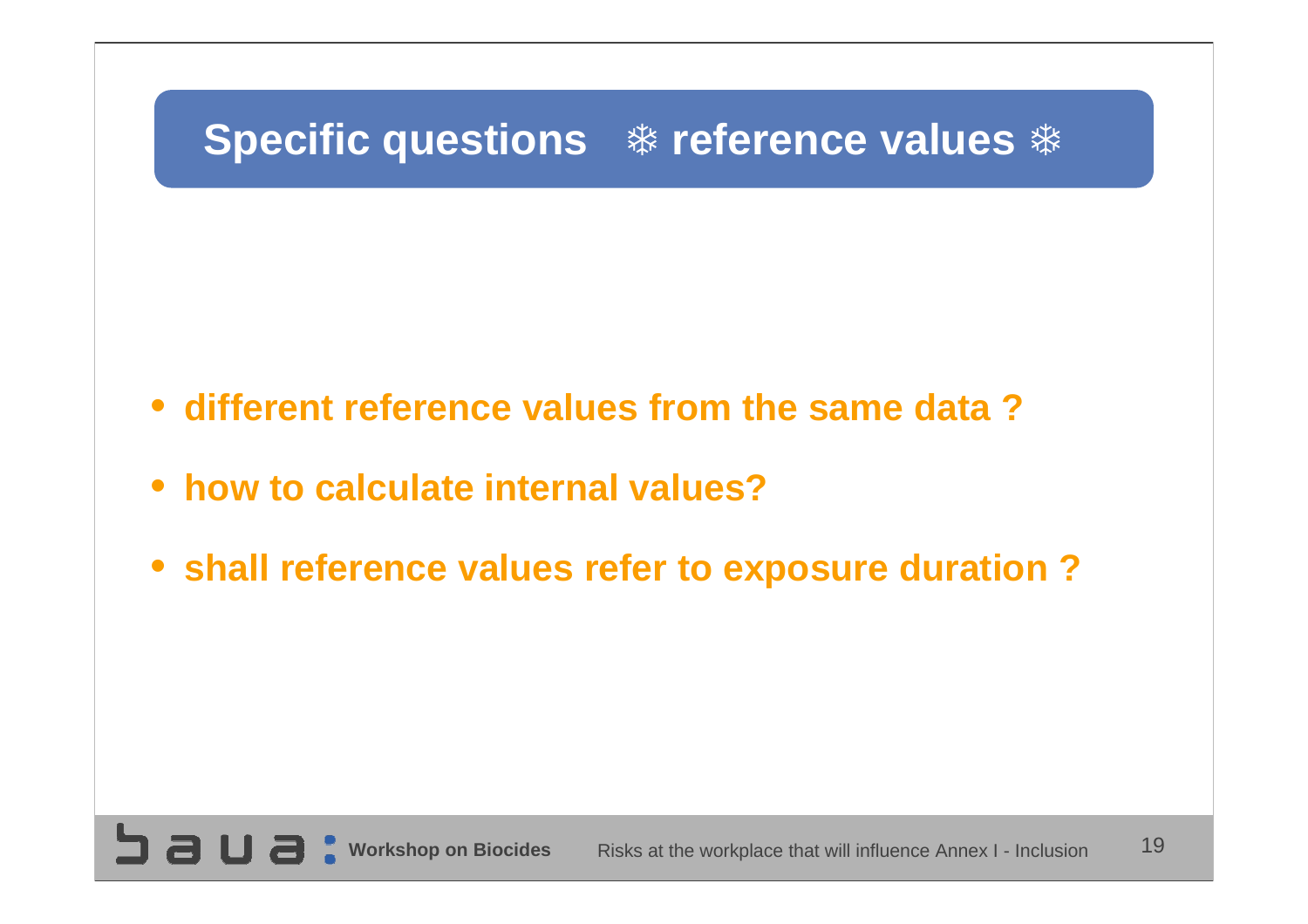# **Specific questions**  $*$  **reference values**  $*$

- **different reference values from the same data ?**
- **how to calculate internal values?**
- **shall reference values refer to exposure duration ?**

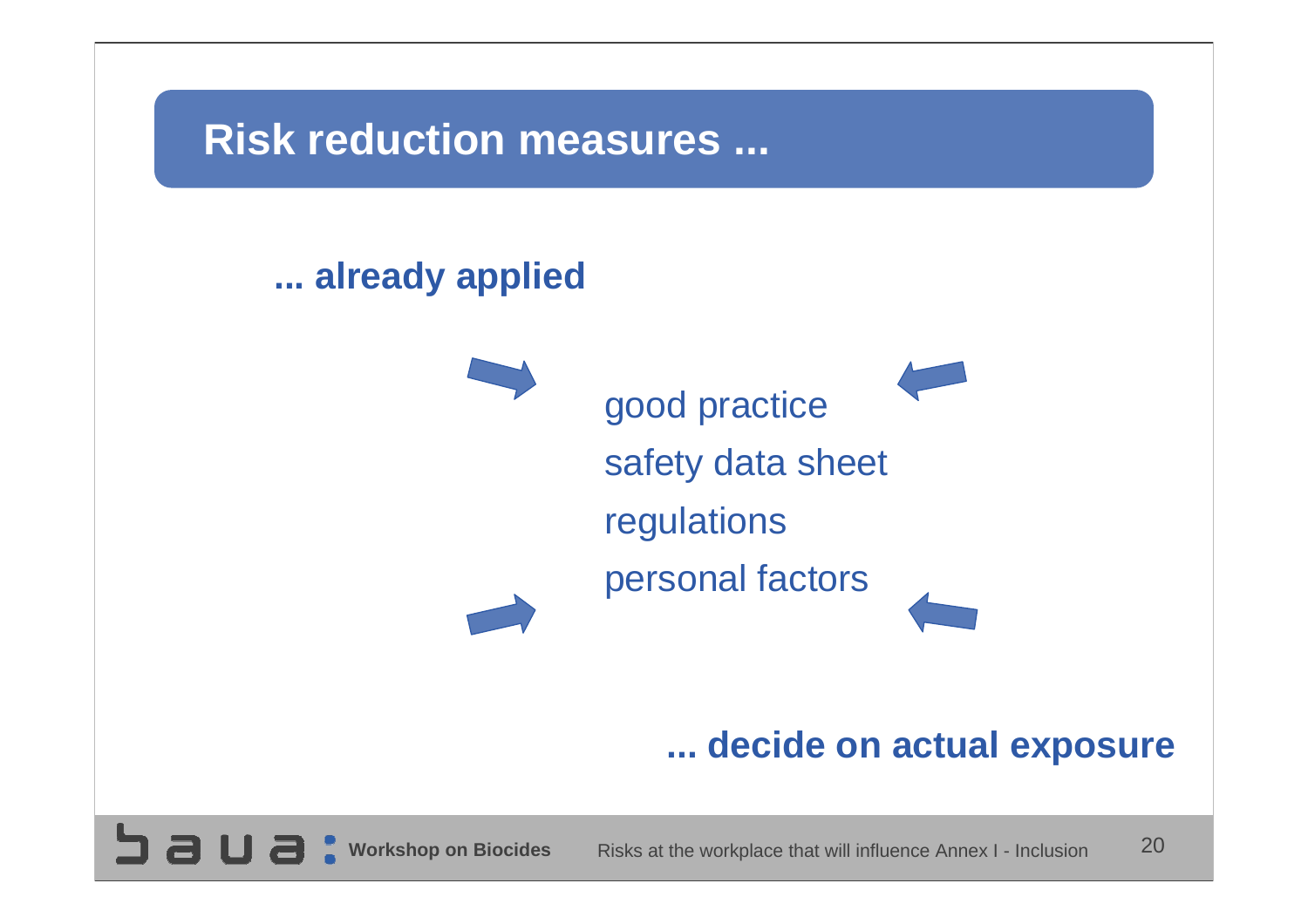### **Risk reduction measures ...**

#### **... already applied**

**SUBC** 



#### **... decide on actual exposure**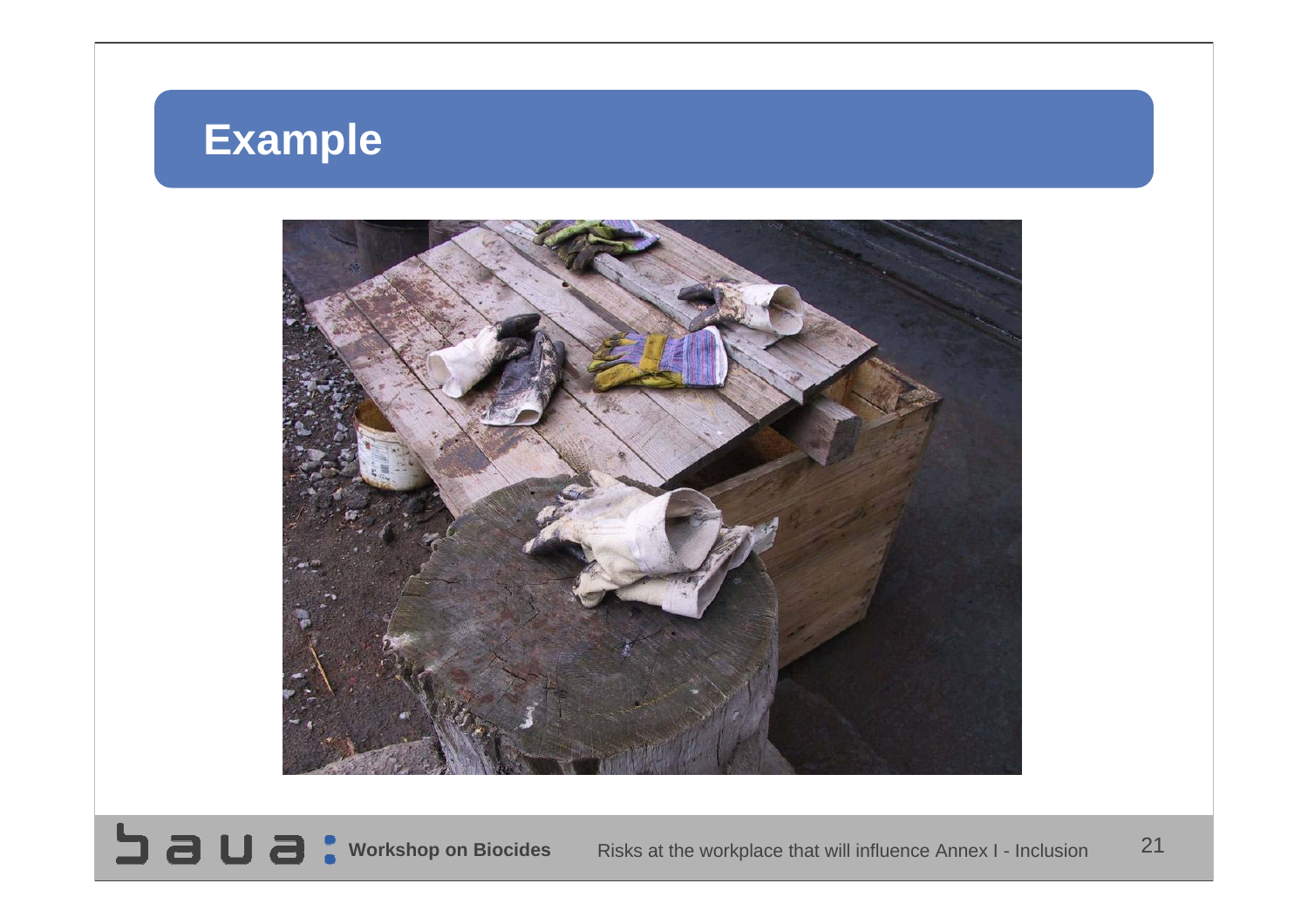# **Example**



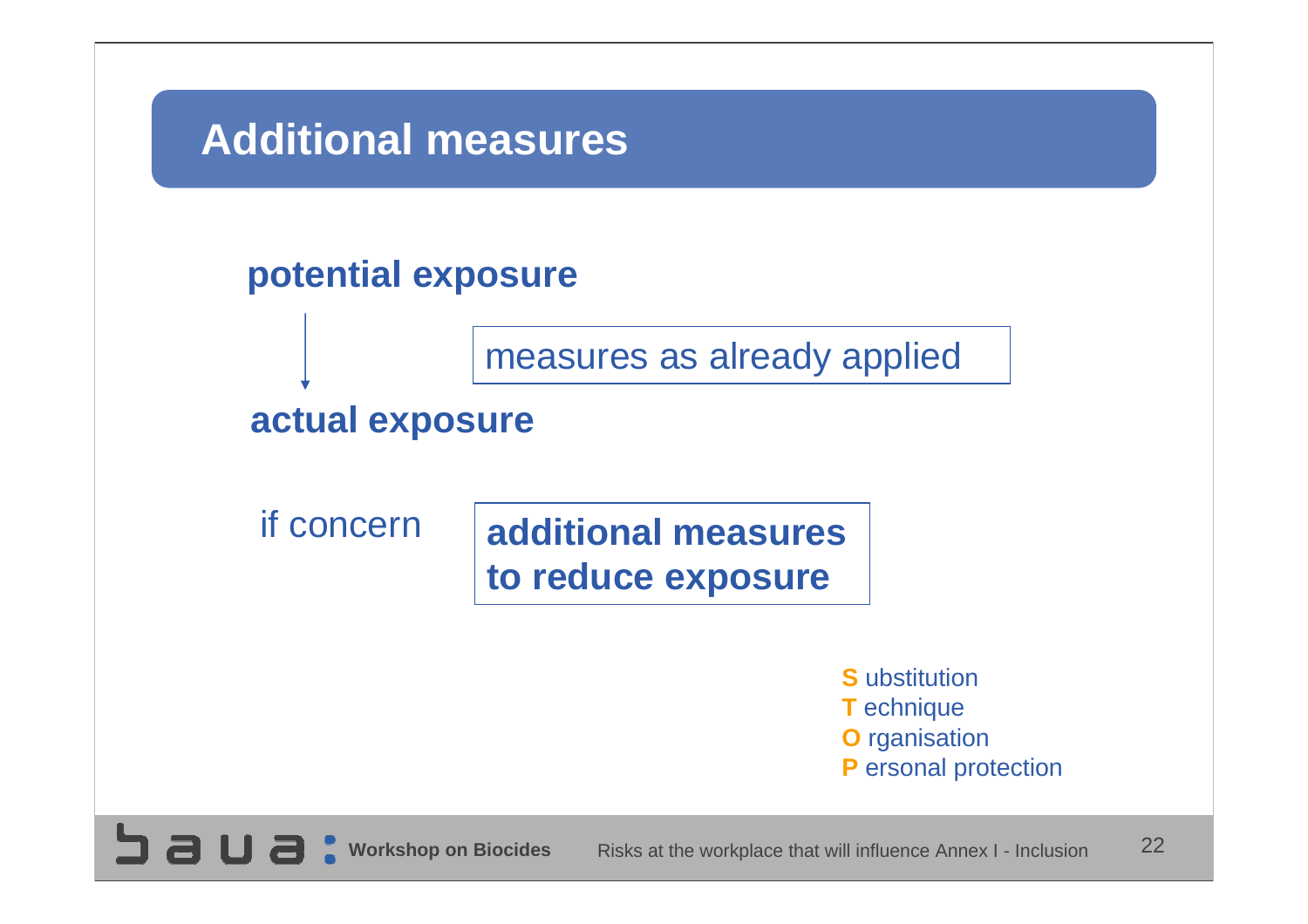### **Additional measures**

#### **potential exposure**

measures as already applied

#### **actual exposure**

if concern

**SUSC** 

#### **additional measuresto reduce exposure**

**S** ubstitution **T** echnique **O** rganisation **P** ersonal protection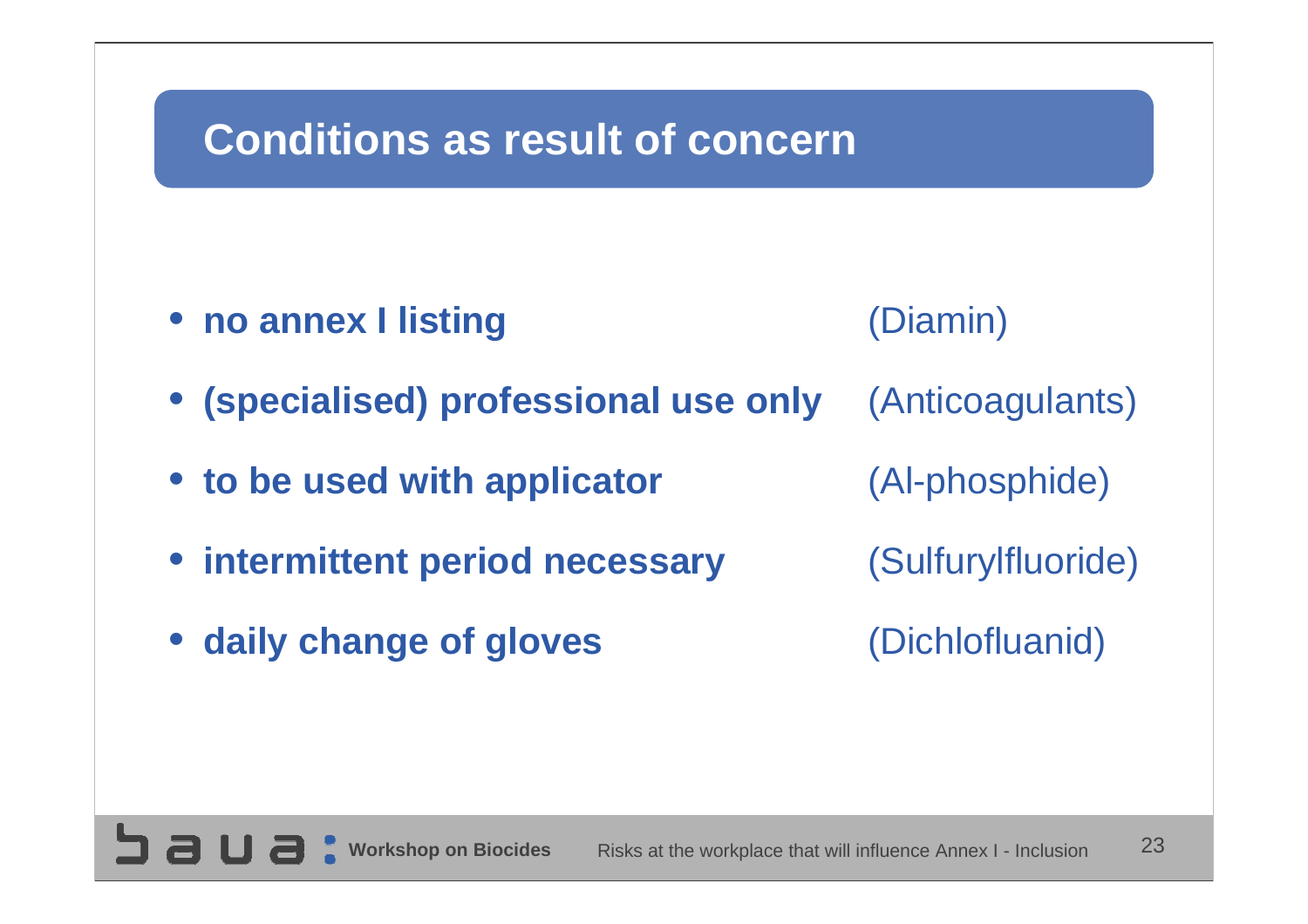## **Conditions as result of concern**

- **no annex I listing** (Diamin)
- 
- **(specialised) professional use only** (Anticoagulants)
- **to be used with applicator** (Al-phosphide)
- **intermittent period necessary** (Sulfurylfluoride)
- **daily change of gloves** (Dichlofluanid)

**SUBC**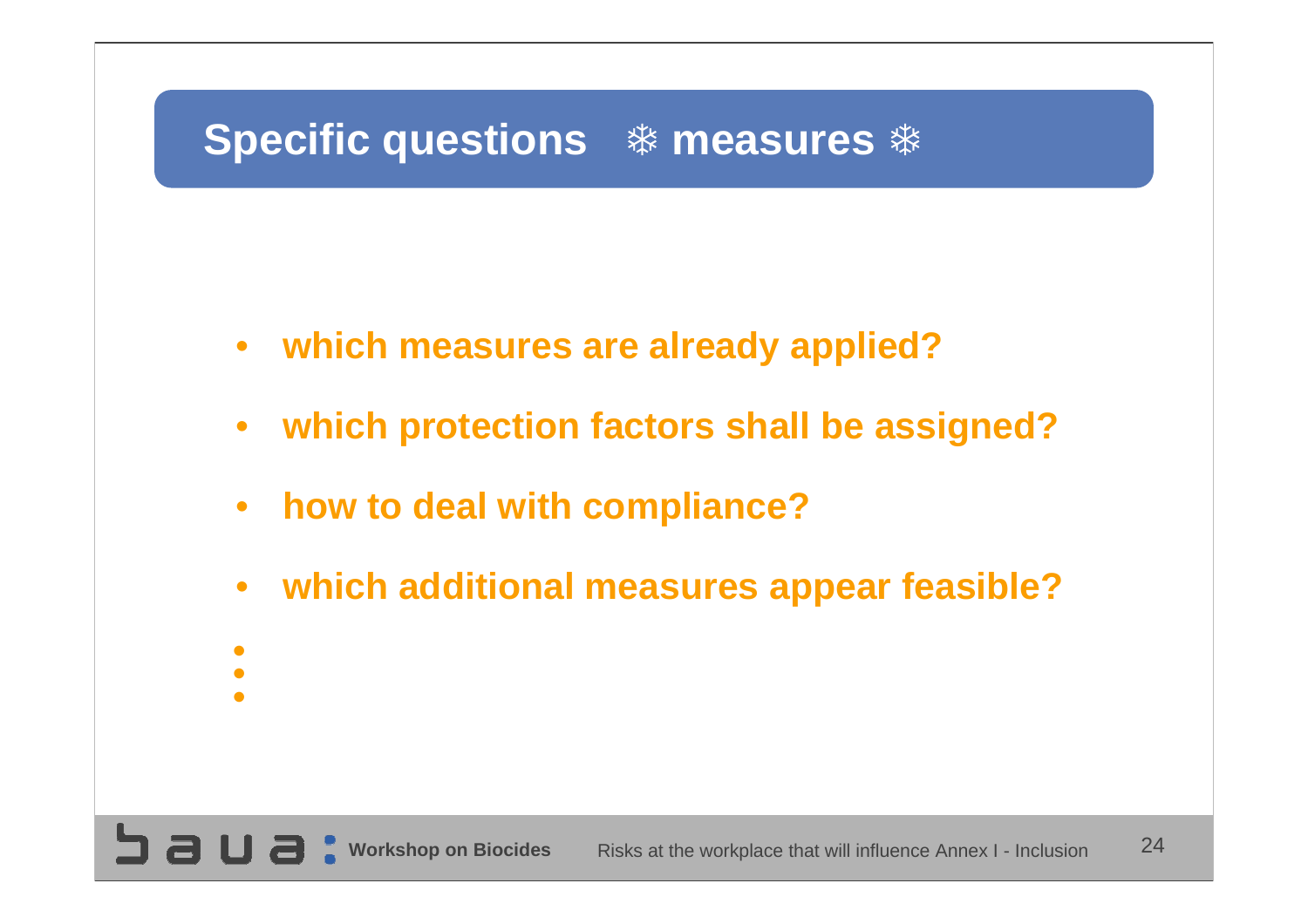# **Specific questions**  $*$  **measures**  $*$

- **which measures are already applied?**
- $\bullet$ **which protection factors shall be assigned?**
- $\bullet$ **how to deal with compliance?**
- $\bullet$ **which additional measures appear feasible?**
- 
- •••
-